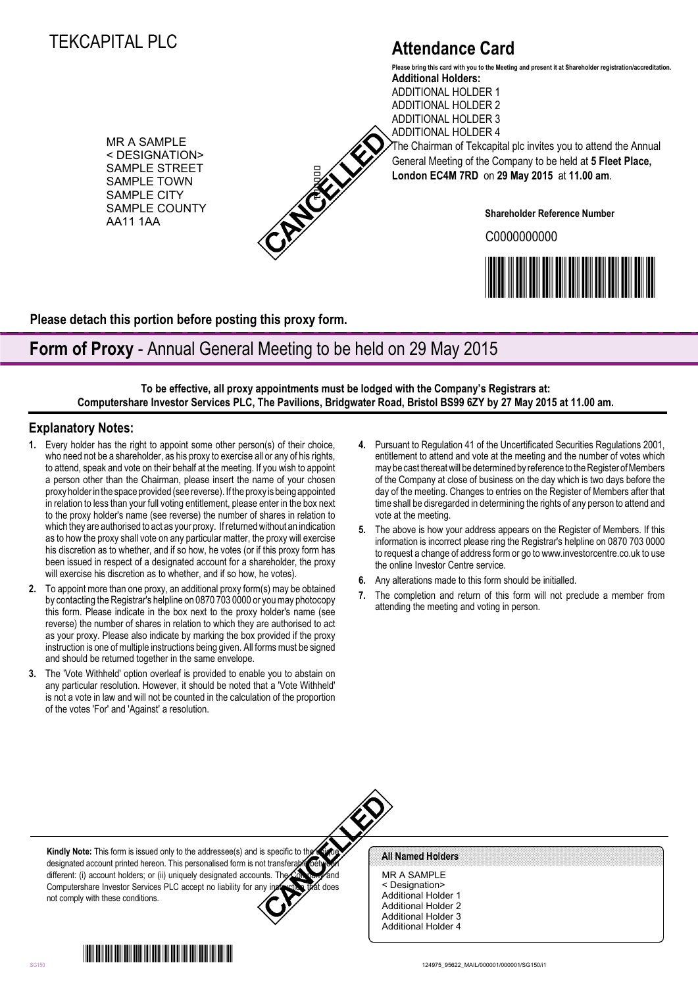# TEKCAPITAL PLC

# **Attendance Card**

MR A SAMPLE < DESIGNATION> SAMPLE STREET SAMPLE TOWN SAMPLE CITY SAMPLE COUNTY AA11 1AA



**Additional Holders:** ADDITIONAL HOLDER 1 ADDITIONAL HOLDER 2 ADDITIONAL HOLDER 3 **Please bring this card with you to the Meeting and present it at Shareholder registration/accreditation.**

ADDITIONAL HOLDER 4 The Chairman of Tekcapital plc invites you to attend the Annual General Meeting of the Company to be held at **5 Fleet Place, London EC4M 7RD** on **29 May 2015** at **11.00 am**.

**Shareholder Reference Number**

C0000000000



**Please detach this portion before posting this proxy form.**

## **Form of Proxy** - Annual General Meeting to be held on 29 May 2015

**To be effective, all proxy appointments must be lodged with the Company's Registrars at: Computershare Investor Services PLC, The Pavilions, Bridgwater Road, Bristol BS99 6ZY by 27 May 2015 at 11.00 am.**

### **Explanatory Notes:**

- **1.** Every holder has the right to appoint some other person(s) of their choice, who need not be a shareholder, as his proxy to exercise all or any of his rights, to attend, speak and vote on their behalf at the meeting. If you wish to appoint a person other than the Chairman, please insert the name of your chosen proxy holder in the space provided (see reverse). If the proxy is being appointed in relation to less than your full voting entitlement, please enter in the box next to the proxy holder's name (see reverse) the number of shares in relation to which they are authorised to act as your proxy. If returned without an indication as to how the proxy shall vote on any particular matter, the proxy will exercise his discretion as to whether, and if so how, he votes (or if this proxy form has been issued in respect of a designated account for a shareholder, the proxy will exercise his discretion as to whether, and if so how, he votes). SAMPLE COVID-1) Undoor DCMI TRO on 29 May 20<br>
SAMPLE COVID-1) SAMPLE COUNTY<br>
SAMPLE COUNTY<br>
SAMPLE COUNTY<br>
SAMPLE COUNTY<br>
SAMPLE COUNTY<br>
SAMPLE COUNTY<br>
To be effective, all proxy appointments must be loging of the Company
- **2.** To appoint more than one proxy, an additional proxy form(s) may be obtained by contacting the Registrar's helpline on 0870 703 0000 or you may photocopy this form. Please indicate in the box next to the proxy holder's name (see reverse) the number of shares in relation to which they are authorised to act as your proxy. Please also indicate by marking the box provided if the proxy instruction is one of multiple instructions being given. All forms must be signed and should be returned together in the same envelope.
- **3.** The 'Vote Withheld' option overleaf is provided to enable you to abstain on any particular resolution. However, it should be noted that a 'Vote Withheld' is not a vote in law and will not be counted in the calculation of the proportion of the votes 'For' and 'Against' a resolution.
- **4.** Pursuant to Regulation 41 of the Uncertificated Securities Regulations 2001, entitlement to attend and vote at the meeting and the number of votes which may be cast thereat will be determined by reference to the Register of Members of the Company at close of business on the day which is two days before the day of the meeting. Changes to entries on the Register of Members after that time shall be disregarded in determining the rights of any person to attend and vote at the meeting.
- **5.** The above is how your address appears on the Register of Members. If this information is incorrect please ring the Registrar's helpline on 0870 703 0000 to request a change of address form or go to www.investorcentre.co.uk to use the online Investor Centre service.
- **6.** Any alterations made to this form should be initialled.
- **7.** The completion and return of this form will not preclude a member from attending the meeting and voting in person.

**Kindly Note:** This form is issued only to the addressee(s) and is specific to the designated account printed hereon. This personalised form is not transferable between different: (i) account holders; or (ii) uniquely designated accounts. Th Computershare Investor Services PLC accept no liability for any instruction that does not comply with these conditions.

MR A SAMPLE < Designation> Additional Holder 1 Additional Holder 2 Additional Holder 3 Additional Holder 4